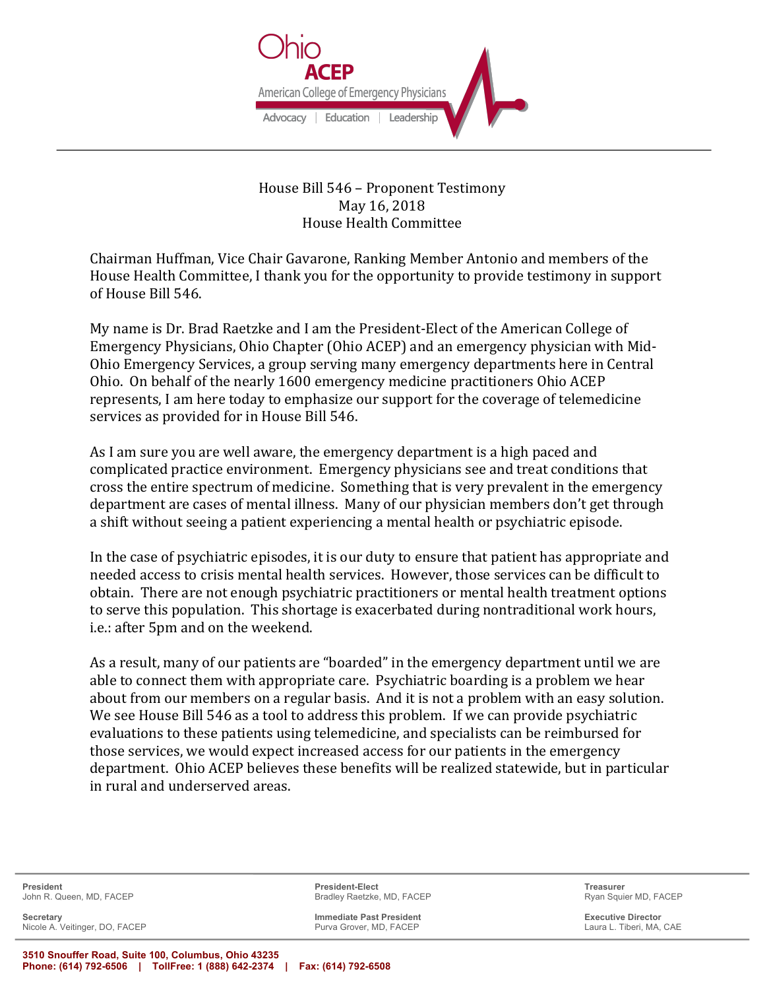

House Bill 546 - Proponent Testimony May 16, 2018 House Health Committee

Chairman Huffman, Vice Chair Gavarone, Ranking Member Antonio and members of the House Health Committee, I thank you for the opportunity to provide testimony in support of House Bill 546.

My name is Dr. Brad Raetzke and I am the President-Elect of the American College of Emergency Physicians, Ohio Chapter (Ohio ACEP) and an emergency physician with Mid-Ohio Emergency Services, a group serving many emergency departments here in Central Ohio. On behalf of the nearly 1600 emergency medicine practitioners Ohio ACEP represents, I am here today to emphasize our support for the coverage of telemedicine services as provided for in House Bill 546.

As I am sure you are well aware, the emergency department is a high paced and complicated practice environment. Emergency physicians see and treat conditions that cross the entire spectrum of medicine. Something that is very prevalent in the emergency department are cases of mental illness. Many of our physician members don't get through a shift without seeing a patient experiencing a mental health or psychiatric episode.

In the case of psychiatric episodes, it is our duty to ensure that patient has appropriate and needed access to crisis mental health services. However, those services can be difficult to obtain. There are not enough psychiatric practitioners or mental health treatment options to serve this population. This shortage is exacerbated during nontraditional work hours, i.e.: after 5pm and on the weekend.

As a result, many of our patients are "boarded" in the emergency department until we are able to connect them with appropriate care. Psychiatric boarding is a problem we hear about from our members on a regular basis. And it is not a problem with an easy solution. We see House Bill 546 as a tool to address this problem. If we can provide psychiatric evaluations to these patients using telemedicine, and specialists can be reimbursed for those services, we would expect increased access for our patients in the emergency department. Ohio ACEP believes these benefits will be realized statewide, but in particular in rural and underserved areas.

**Secretary Immediate Past President Executive Director** Nicole A. Veitinger, DO, FACEP

**President President-Elect Treasurer** John R. Queen, MD, FACEP **Bradley Raetzke, MD, FACEP** Bradley Raetzke, MD, FACEP Ryan Squier MD, FACEP